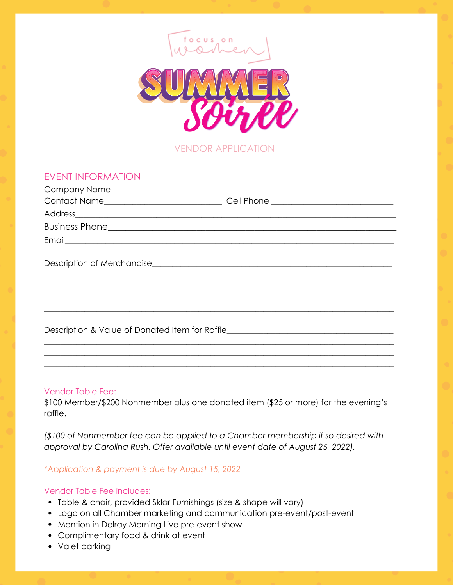

VENDOR APPLICATION

## EVENT INFORMATION

| Contact Name__________________________                                           | Cell Phone ____________________________ |
|----------------------------------------------------------------------------------|-----------------------------------------|
|                                                                                  |                                         |
|                                                                                  |                                         |
|                                                                                  |                                         |
|                                                                                  |                                         |
|                                                                                  |                                         |
| Description & Value of Donated Item for Raffle__________________________________ |                                         |
|                                                                                  |                                         |

## Vendor Table Fee:

\$100 Member/\$200 Nonmember plus one donated item (\$25 or more) for the evening's raffle.

**\_\_\_\_\_\_\_\_\_\_\_\_\_\_\_\_\_\_\_\_\_\_\_\_\_\_\_\_\_\_\_\_\_\_\_\_\_\_\_\_\_\_\_\_\_\_\_\_\_\_\_\_\_\_\_\_\_\_\_\_\_\_\_\_\_\_\_\_\_\_\_\_\_\_\_\_\_\_\_\_\_\_\_\_\_\_**

*(\$100 of Nonmember fee can be applied to a Chamber membership if so desired with approval by Carolina Rush. Offer available until event date of August 25, 2022).*

*\*Application & payment is due by August 15, 2022*

## Vendor Table Fee includes:

- Table & chair, provided Sklar Furnishings (size & shape will vary)
- Logo on all Chamber marketing and communication pre-event/post-event
- Mention in Delray Morning Live pre-event show
- Complimentary food & drink at event
- Valet parking